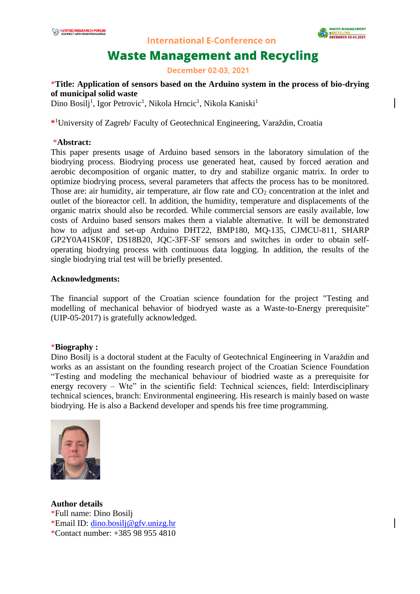

**International E-Conference on** 

# **Waste Management and Recycling**

**December 02-03, 2021** 

# \***Title: Application of sensors based on the Arduino system in the process of bio-drying of municipal solid waste**

Dino Bosilj<sup>1</sup>, Igor Petrovic<sup>1</sup>, Nikola Hrncic<sup>1</sup>, Nikola Kaniski<sup>1</sup>

**\*** <sup>1</sup>University of Zagreb/ Faculty of Geotechnical Engineering, Varaždin, Croatia

#### \***Abstract:**

This paper presents usage of Arduino based sensors in the laboratory simulation of the biodrying process. Biodrying process use generated heat, caused by forced aeration and aerobic decomposition of organic matter, to dry and stabilize organic matrix. In order to optimize biodrying process, several parameters that affects the process has to be monitored. Those are: air humidity, air temperature, air flow rate and  $CO<sub>2</sub>$  concentration at the inlet and outlet of the bioreactor cell. In addition, the humidity, temperature and displacements of the organic matrix should also be recorded. While commercial sensors are easily available, low costs of Arduino based sensors makes them a vialable alternative. It will be demonstrated how to adjust and set-up Arduino DHT22, BMP180, MQ-135, CJMCU-811, SHARP GP2Y0A41SK0F, DS18B20, JQC-3FF-SF sensors and switches in order to obtain selfoperating biodrying process with continuous data logging. In addition, the results of the single biodrying trial test will be briefly presented.

## **Acknowledgments:**

The financial support of the Croatian science foundation for the project "Testing and modelling of mechanical behavior of biodryed waste as a Waste-to-Energy prerequisite" (UIP-05-2017) is gratefully acknowledged.

## \***Biography :**

Dino Bosilj is a doctoral student at the Faculty of Geotechnical Engineering in Varaždin and works as an assistant on the founding research project of the Croatian Science Foundation "Testing and modeling the mechanical behaviour of biodried waste as a prerequisite for energy recovery – Wte" in the scientific field: Technical sciences, field: Interdisciplinary technical sciences, branch: Environmental engineering. His research is mainly based on waste biodrying. He is also a Backend developer and spends his free time programming.



**Author details** \*Full name: Dino Bosilj \*Email ID: [dino.bosilj@gfv.unizg.hr](mailto:dino.bosilj@gfv.unizg.hr) \*Contact number: +385 98 955 4810